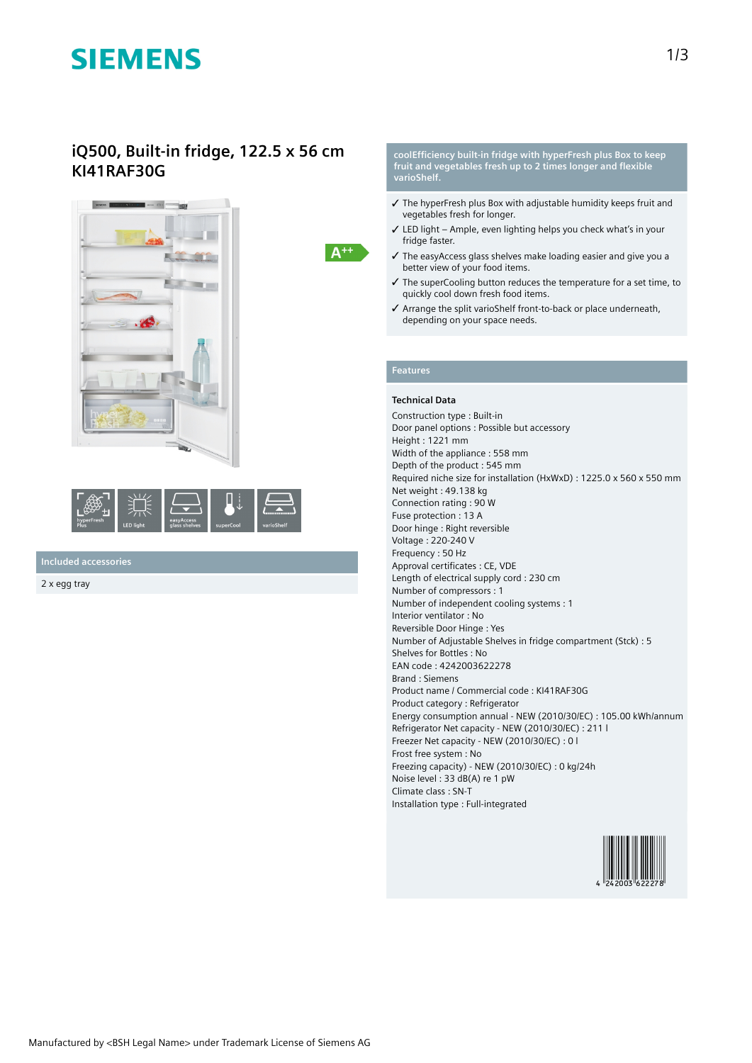# **SIEMENS**

## **iQ500, Built-in fridge, 122.5 x 56 cm KI41RAF30G**





**Included accessories**

2 x egg tray

#### **coolEfficiency built-in fridge with hyperFresh plus Box to keep fruit and vegetables fresh up to 2 times longer and flexible varioShelf.**

- ✓ The hyperFresh plus Box with adjustable humidity keeps fruit and vegetables fresh for longer.
- ✓ LED light Ample, even lighting helps you check what's in your fridge faster.
- ✓ The easyAccess glass shelves make loading easier and give you a better view of your food items.
- ✓ The superCooling button reduces the temperature for a set time, to quickly cool down fresh food items.
- ✓ Arrange the split varioShelf front-to-back or place underneath, depending on your space needs.

## **Features**

 $A^{++}$ 

### **Technical Data**

Construction type : Built-in Door panel options : Possible but accessory Height : 1221 mm Width of the appliance : 558 mm Depth of the product : 545 mm Required niche size for installation (HxWxD) : 1225.0 x 560 x 550 mm Net weight : 49.138 kg Connection rating : 90 W Fuse protection : 13 A Door hinge : Right reversible Voltage : 220-240 V Frequency : 50 Hz Approval certificates : CE, VDE Length of electrical supply cord : 230 cm Number of compressors : 1 Number of independent cooling systems : 1 Interior ventilator : No Reversible Door Hinge : Yes Number of Adjustable Shelves in fridge compartment (Stck) : 5 Shelves for Bottles : No EAN code : 4242003622278 Brand : Siemens Product name / Commercial code : KI41RAF30G Product category : Refrigerator Energy consumption annual - NEW (2010/30/EC) : 105.00 kWh/annum Refrigerator Net capacity - NEW (2010/30/EC) : 211 l Freezer Net capacity - NEW (2010/30/EC) : 0 l Frost free system : No Freezing capacity) - NEW (2010/30/EC) : 0 kg/24h Noise level : 33 dB(A) re 1 pW Climate class : SN-T Installation type : Full-integrated

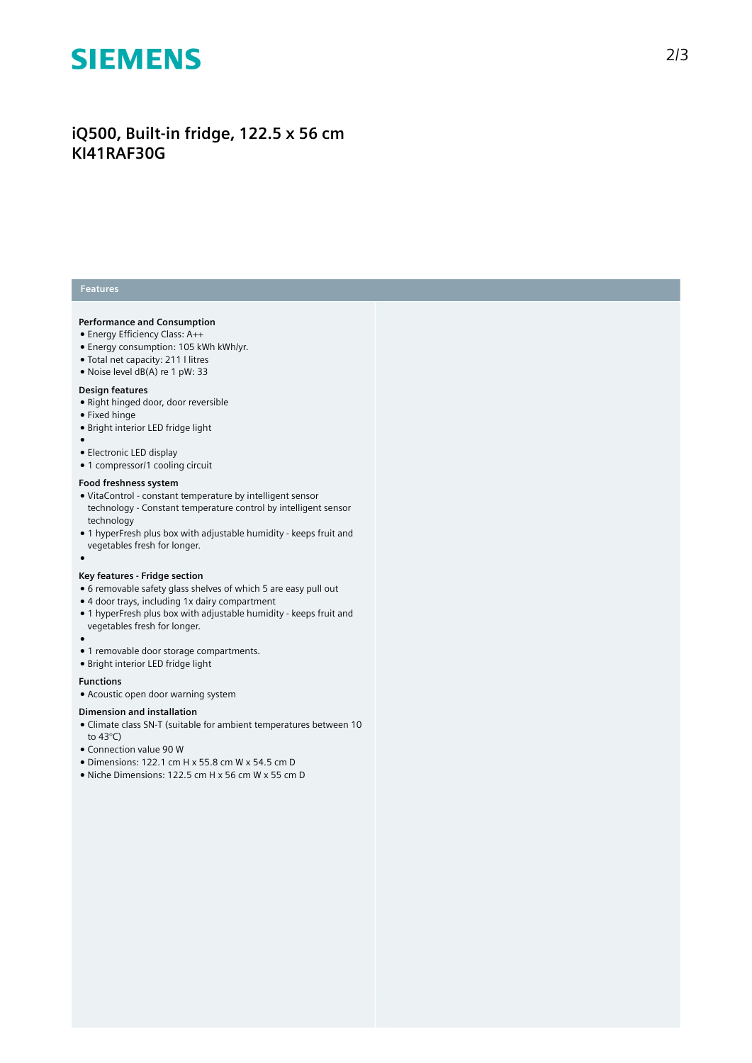

## **iQ500, Built-in fridge, 122.5 x 56 cm KI41RAF30G**

### **Features**

#### **Performance and Consumption**

- Energy Efficiency Class: A++
- Energy consumption: 105 kWh kWh/yr.
- Total net capacity: 211 l litres
- Noise level dB(A) re 1 pW: 33

#### **Design features**

- Right hinged door, door reversible
- Fixed hinge
- Bright interior LED fridge light
- ●
- Electronic LED display
- 1 compressor/1 cooling circuit

#### **Food freshness system**

- VitaControl constant temperature by intelligent sensor technology - Constant temperature control by intelligent sensor technology
- 1 hyperFresh plus box with adjustable humidity keeps fruit and vegetables fresh for longer.
- ●

#### **Key features - Fridge section**

- 6 removable safety glass shelves of which 5 are easy pull out
- 4 door trays, including 1x dairy compartment
- 1 hyperFresh plus box with adjustable humidity keeps fruit and vegetables fresh for longer.
- $\bullet$
- 1 removable door storage compartments.
- Bright interior LED fridge light

#### **Functions**

● Acoustic open door warning system

#### **Dimension and installation**

- Climate class SN-T (suitable for ambient temperatures between 10 to 43°C)
- Connection value 90 W
- Dimensions: 122.1 cm H x 55.8 cm W x 54.5 cm D
- Niche Dimensions: 122.5 cm H x 56 cm W x 55 cm D